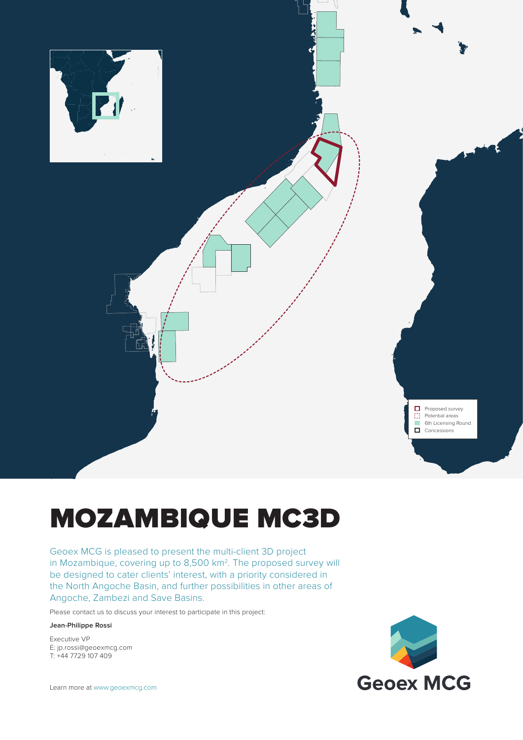

**Proposed survey** Ð Potential areas 6th Licensing Round  $\Box$  Concessions

# MOZAMBIQUE MC3D

Geoex MCG is pleased to present the multi-client 3D project in Mozambique, covering up to 8,500 km2. The proposed survey will be designed to cater clients' interest, with a priority considered in the North Angoche Basin, and further possibilities in other areas of Angoche, Zambezi and Save Basins.

Please contact us to discuss your interest to participate in this project:

#### **Jean-Philippe Rossi**

Executive VP E: jp.rossi@geoexmcg.com T: +44 7729 107 409

Learn more at www.geoexmcg.com